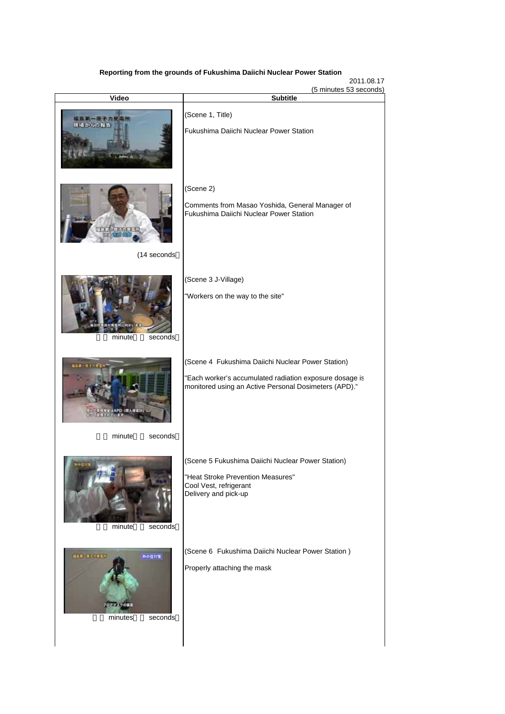## **Reporting from the grounds of Fukushima Daiichi Nuclear Power Station**

2011.08.17

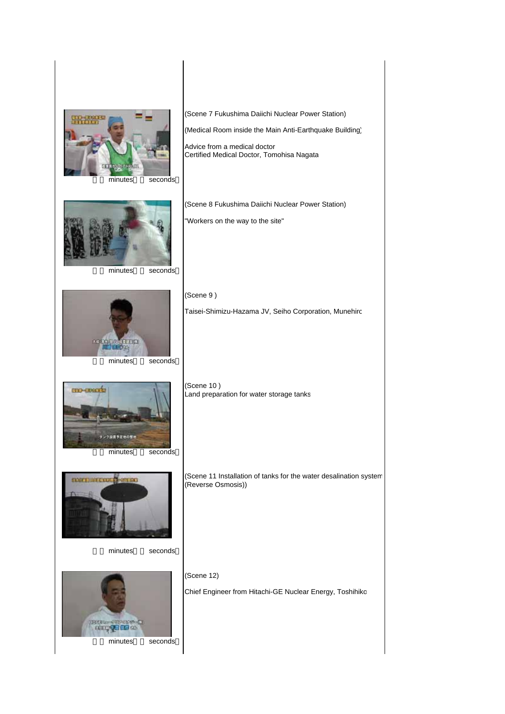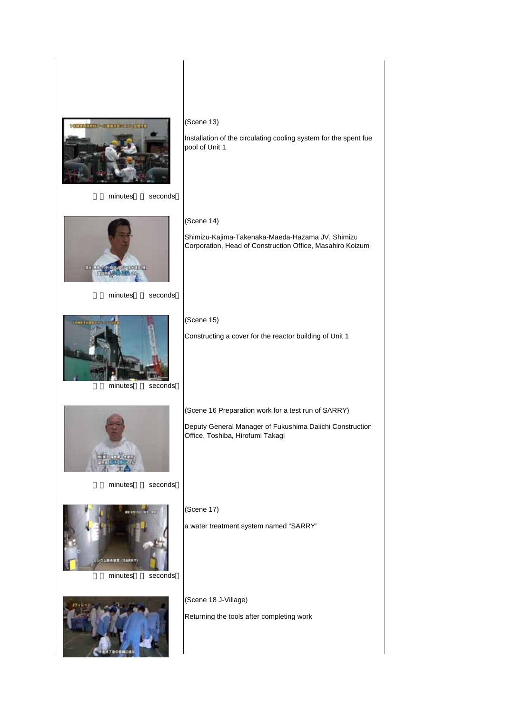

minutes seconds

(Scene 13)

pool of Unit 1

(Scene 14)

(Scene 15)

Installation of the circulating cooling system for the spent fue

Shimizu-Kajima-Takenaka-Maeda-Hazama JV, Shimizu Corporation, Head of Construction Office, Masahiro Koizumi

Constructing a cover for the reactor building of Unit 1

(Scene 16 Preparation work for a test run of SARRY)

Office, Toshiba, Hirofumi Takagi

Deputy General Manager of Fukushima Daiichi Construction



minutes seconds



minutes seconds



minutes seconds



minutes seconds



(Scene 18 J-Village)

(Scene 17)

Returning the tools after completing work

a water treatment system named "SARRY"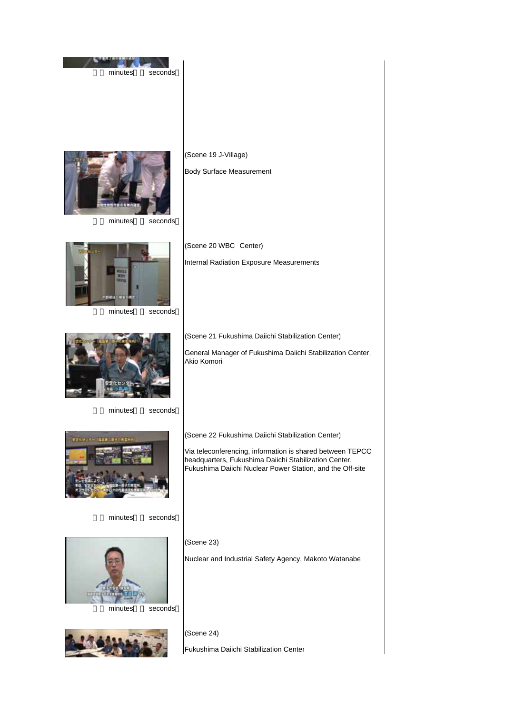